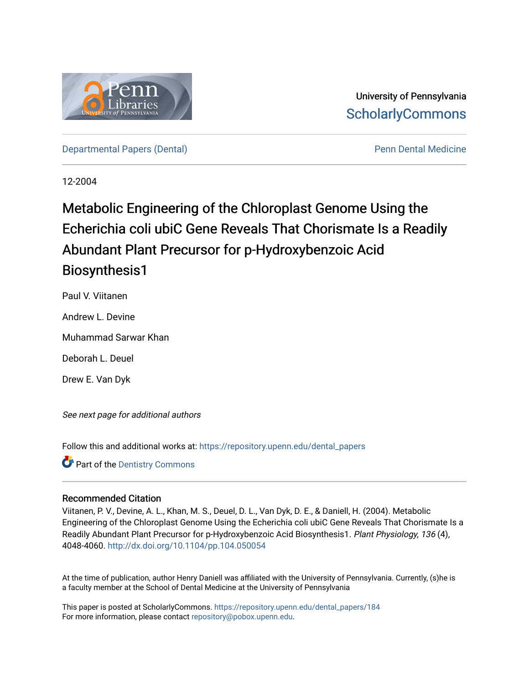

University of Pennsylvania **ScholarlyCommons** 

[Departmental Papers \(Dental\)](https://repository.upenn.edu/dental_papers) **Pennis Accord Pennis Pennis Pennis Pennis Pennis Pennis Pennis Pennis Pennis Pennis Pennis Pennis Pennis Pennis Pennis Pennis Pennis Pennis Pennis Pennis Pennis Pennis Pennis Pennis Pennis Pen** 

12-2004

# Metabolic Engineering of the Chloroplast Genome Using the Echerichia coli ubiC Gene Reveals That Chorismate Is a Readily Abundant Plant Precursor for p-Hydroxybenzoic Acid Biosynthesis1

Paul V. Viitanen

Andrew L. Devine

Muhammad Sarwar Khan

Deborah L. Deuel

Drew E. Van Dyk

See next page for additional authors

Follow this and additional works at: [https://repository.upenn.edu/dental\\_papers](https://repository.upenn.edu/dental_papers?utm_source=repository.upenn.edu%2Fdental_papers%2F184&utm_medium=PDF&utm_campaign=PDFCoverPages)

**Part of the Dentistry Commons** 

## Recommended Citation

Viitanen, P. V., Devine, A. L., Khan, M. S., Deuel, D. L., Van Dyk, D. E., & Daniell, H. (2004). Metabolic Engineering of the Chloroplast Genome Using the Echerichia coli ubiC Gene Reveals That Chorismate Is a Readily Abundant Plant Precursor for p-Hydroxybenzoic Acid Biosynthesis1. Plant Physiology, 136 (4), 4048-4060. <http://dx.doi.org/10.1104/pp.104.050054>

At the time of publication, author Henry Daniell was affiliated with the University of Pennsylvania. Currently, (s)he is a faculty member at the School of Dental Medicine at the University of Pennsylvania

This paper is posted at ScholarlyCommons. [https://repository.upenn.edu/dental\\_papers/184](https://repository.upenn.edu/dental_papers/184)  For more information, please contact [repository@pobox.upenn.edu.](mailto:repository@pobox.upenn.edu)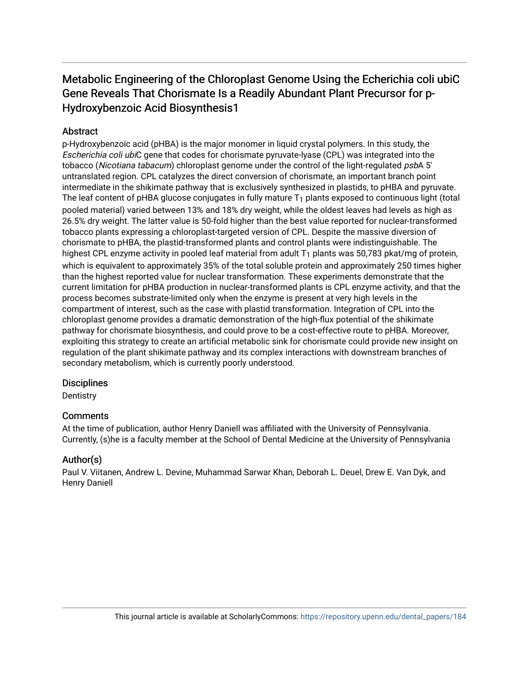## Metabolic Engineering of the Chloroplast Genome Using the Echerichia coli ubiC Gene Reveals That Chorismate Is a Readily Abundant Plant Precursor for p-Hydroxybenzoic Acid Biosynthesis1

## **Abstract**

p-Hydroxybenzoic acid (pHBA) is the major monomer in liquid crystal polymers. In this study, the Escherichia coli ubiC gene that codes for chorismate pyruvate-lyase (CPL) was integrated into the tobacco (Nicotiana tabacum) chloroplast genome under the control of the light-regulated psbA 5' untranslated region. CPL catalyzes the direct conversion of chorismate, an important branch point intermediate in the shikimate pathway that is exclusively synthesized in plastids, to pHBA and pyruvate. The leaf content of pHBA glucose conjugates in fully mature  $T_1$  plants exposed to continuous light (total pooled material) varied between 13% and 18% dry weight, while the oldest leaves had levels as high as 26.5% dry weight. The latter value is 50-fold higher than the best value reported for nuclear-transformed tobacco plants expressing a chloroplast-targeted version of CPL. Despite the massive diversion of chorismate to pHBA, the plastid-transformed plants and control plants were indistinguishable. The highest CPL enzyme activity in pooled leaf material from adult T<sub>1</sub> plants was 50,783 pkat/mg of protein, which is equivalent to approximately 35% of the total soluble protein and approximately 250 times higher than the highest reported value for nuclear transformation. These experiments demonstrate that the current limitation for pHBA production in nuclear-transformed plants is CPL enzyme activity, and that the process becomes substrate-limited only when the enzyme is present at very high levels in the compartment of interest, such as the case with plastid transformation. Integration of CPL into the chloroplast genome provides a dramatic demonstration of the high-flux potential of the shikimate pathway for chorismate biosynthesis, and could prove to be a cost-effective route to pHBA. Moreover, exploiting this strategy to create an artificial metabolic sink for chorismate could provide new insight on regulation of the plant shikimate pathway and its complex interactions with downstream branches of secondary metabolism, which is currently poorly understood.

## **Disciplines**

**Dentistry** 

## Comments

At the time of publication, author Henry Daniell was affiliated with the University of Pennsylvania. Currently, (s)he is a faculty member at the School of Dental Medicine at the University of Pennsylvania

## Author(s)

Paul V. Viitanen, Andrew L. Devine, Muhammad Sarwar Khan, Deborah L. Deuel, Drew E. Van Dyk, and Henry Daniell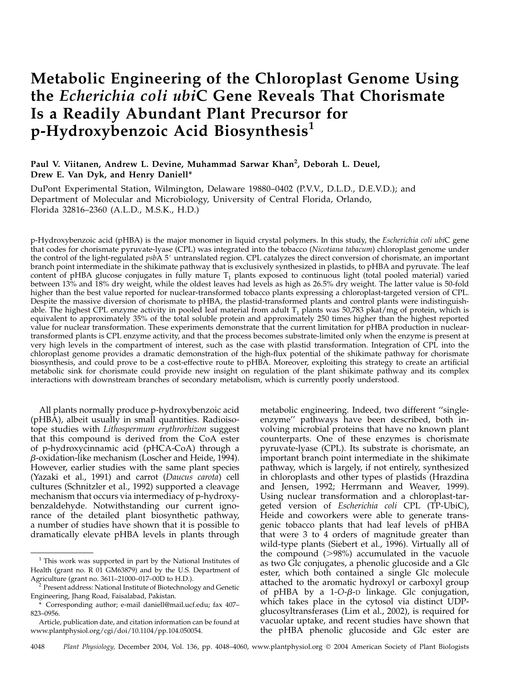## Metabolic Engineering of the Chloroplast Genome Using the Echerichia coli ubiC Gene Reveals That Chorismate Is a Readily Abundant Plant Precursor for p-Hydroxybenzoic Acid Biosynthesis<sup>1</sup>

### Paul V. Viitanen, Andrew L. Devine, Muhammad Sarwar Khan<sup>2</sup>, Deborah L. Deuel, Drew E. Van Dyk, and Henry Daniell\*

DuPont Experimental Station, Wilmington, Delaware 19880–0402 (P.V.V., D.L.D., D.E.V.D.); and Department of Molecular and Microbiology, University of Central Florida, Orlando, Florida 32816–2360 (A.L.D., M.S.K., H.D.)

p-Hydroxybenzoic acid (pHBA) is the major monomer in liquid crystal polymers. In this study, the Escherichia coli ubiC gene that codes for chorismate pyruvate-lyase (CPL) was integrated into the tobacco (Nicotiana tabacum) chloroplast genome under the control of the light-regulated psbA 5' untranslated region. CPL catalyzes the direct conversion of chorismate, an important branch point intermediate in the shikimate pathway that is exclusively synthesized in plastids, to pHBA and pyruvate. The leaf content of pHBA glucose conjugates in fully mature  $T_1$  plants exposed to continuous light (total pooled material) varied between 13% and 18% dry weight, while the oldest leaves had levels as high as 26.5% dry weight. The latter value is 50-fold higher than the best value reported for nuclear-transformed tobacco plants expressing a chloroplast-targeted version of CPL. Despite the massive diversion of chorismate to pHBA, the plastid-transformed plants and control plants were indistinguishable. The highest CPL enzyme activity in pooled leaf material from adult  $T_1$  plants was 50,783 pkat/mg of protein, which is equivalent to approximately 35% of the total soluble protein and approximately 250 times higher than the highest reported value for nuclear transformation. These experiments demonstrate that the current limitation for pHBA production in nucleartransformed plants is CPL enzyme activity, and that the process becomes substrate-limited only when the enzyme is present at very high levels in the compartment of interest, such as the case with plastid transformation. Integration of CPL into the chloroplast genome provides a dramatic demonstration of the high-flux potential of the shikimate pathway for chorismate biosynthesis, and could prove to be a cost-effective route to pHBA. Moreover, exploiting this strategy to create an artificial metabolic sink for chorismate could provide new insight on regulation of the plant shikimate pathway and its complex interactions with downstream branches of secondary metabolism, which is currently poorly understood.

All plants normally produce p-hydroxybenzoic acid (pHBA), albeit usually in small quantities. Radioisotope studies with Lithospermum erythrorhizon suggest that this compound is derived from the CoA ester of p-hydroxycinnamic acid (pHCA-CoA) through a b-oxidation-like mechanism (Loscher and Heide, 1994). However, earlier studies with the same plant species (Yazaki et al., 1991) and carrot (Daucus carota) cell cultures (Schnitzler et al., 1992) supported a cleavage mechanism that occurs via intermediacy of p-hydroxybenzaldehyde. Notwithstanding our current ignorance of the detailed plant biosynthetic pathway, a number of studies have shown that it is possible to dramatically elevate pHBA levels in plants through

metabolic engineering. Indeed, two different ''singleenzyme'' pathways have been described, both involving microbial proteins that have no known plant counterparts. One of these enzymes is chorismate pyruvate-lyase (CPL). Its substrate is chorismate, an important branch point intermediate in the shikimate pathway, which is largely, if not entirely, synthesized in chloroplasts and other types of plastids (Hrazdina and Jensen, 1992; Herrmann and Weaver, 1999). Using nuclear transformation and a chloroplast-targeted version of Escherichia coli CPL (TP-UbiC), Heide and coworkers were able to generate transgenic tobacco plants that had leaf levels of pHBA that were 3 to 4 orders of magnitude greater than wild-type plants (Siebert et al., 1996). Virtually all of the compound  $(>98%)$  accumulated in the vacuole as two Glc conjugates, a phenolic glucoside and a Glc ester, which both contained a single Glc molecule attached to the aromatic hydroxyl or carboxyl group of pHBA by a  $1-O$ - $\beta$ -D linkage. Glc conjugation, which takes place in the cytosol via distinct UDPglucosyltransferases (Lim et al., 2002), is required for vacuolar uptake, and recent studies have shown that the pHBA phenolic glucoside and Glc ester are

 $1$  This work was supported in part by the National Institutes of Health (grant no. R 01 GM63879) and by the U.S. Department of Agriculture (grant no. 3611–21000–017–00D to H.D.).

<sup>&</sup>lt;sup>2</sup> Present address: National Institute of Biotechnology and Genetic Engineering, Jhang Road, Faisalabad, Pakistan.

<sup>\*</sup> Corresponding author; e-mail daniell@mail.ucf.edu; fax 407– 823–0956.

Article, publication date, and citation information can be found at www.plantphysiol.org/cgi/doi/10.1104/pp.104.050054.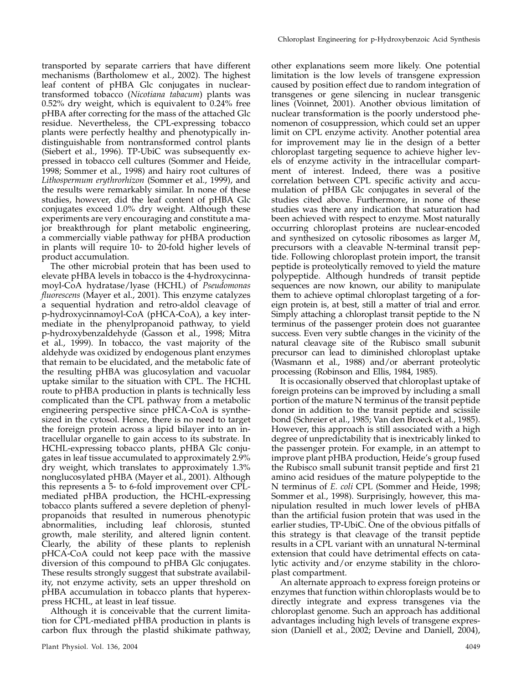transported by separate carriers that have different mechanisms (Bartholomew et al., 2002). The highest leaf content of pHBA Glc conjugates in nucleartransformed tobacco (Nicotiana tabacum) plants was 0.52% dry weight, which is equivalent to 0.24% free pHBA after correcting for the mass of the attached Glc residue. Nevertheless, the CPL-expressing tobacco plants were perfectly healthy and phenotypically indistinguishable from nontransformed control plants (Siebert et al., 1996). TP-UbiC was subsequently expressed in tobacco cell cultures (Sommer and Heide, 1998; Sommer et al., 1998) and hairy root cultures of Lithospermum erythrorhizon (Sommer et al., 1999), and the results were remarkably similar. In none of these studies, however, did the leaf content of pHBA Glc conjugates exceed 1.0% dry weight. Although these experiments are very encouraging and constitute a major breakthrough for plant metabolic engineering, a commercially viable pathway for pHBA production in plants will require 10- to 20-fold higher levels of product accumulation.

The other microbial protein that has been used to elevate pHBA levels in tobacco is the 4-hydroxycinnamoyl-CoA hydratase/lyase (HCHL) of Pseudomonas fluorescens (Mayer et al., 2001). This enzyme catalyzes a sequential hydration and retro-aldol cleavage of p-hydroxycinnamoyl-CoA (pHCA-CoA), a key intermediate in the phenylpropanoid pathway, to yield p-hydroxybenzaldehyde (Gasson et al., 1998; Mitra et al., 1999). In tobacco, the vast majority of the aldehyde was oxidized by endogenous plant enzymes that remain to be elucidated, and the metabolic fate of the resulting pHBA was glucosylation and vacuolar uptake similar to the situation with CPL. The HCHL route to pHBA production in plants is technically less complicated than the CPL pathway from a metabolic engineering perspective since pHCA-CoA is synthesized in the cytosol. Hence, there is no need to target the foreign protein across a lipid bilayer into an intracellular organelle to gain access to its substrate. In HCHL-expressing tobacco plants, pHBA Glc conjugates in leaf tissue accumulated to approximately 2.9% dry weight, which translates to approximately 1.3% nonglucosylated pHBA (Mayer et al., 2001). Although this represents a 5- to 6-fold improvement over CPLmediated pHBA production, the HCHL-expressing tobacco plants suffered a severe depletion of phenylpropanoids that resulted in numerous phenotypic abnormalities, including leaf chlorosis, stunted growth, male sterility, and altered lignin content. Clearly, the ability of these plants to replenish pHCA-CoA could not keep pace with the massive diversion of this compound to pHBA Glc conjugates. These results strongly suggest that substrate availability, not enzyme activity, sets an upper threshold on pHBA accumulation in tobacco plants that hyperexpress HCHL, at least in leaf tissue.

Although it is conceivable that the current limitation for CPL-mediated pHBA production in plants is carbon flux through the plastid shikimate pathway,

other explanations seem more likely. One potential limitation is the low levels of transgene expression caused by position effect due to random integration of transgenes or gene silencing in nuclear transgenic lines (Voinnet, 2001). Another obvious limitation of nuclear transformation is the poorly understood phenomenon of cosuppression, which could set an upper limit on CPL enzyme activity. Another potential area for improvement may lie in the design of a better chloroplast targeting sequence to achieve higher levels of enzyme activity in the intracellular compartment of interest. Indeed, there was a positive correlation between CPL specific activity and accumulation of pHBA Glc conjugates in several of the studies cited above. Furthermore, in none of these studies was there any indication that saturation had been achieved with respect to enzyme. Most naturally occurring chloroplast proteins are nuclear-encoded and synthesized on cytosolic ribosomes as larger  $M_r$ precursors with a cleavable N-terminal transit peptide. Following chloroplast protein import, the transit peptide is proteolytically removed to yield the mature polypeptide. Although hundreds of transit peptide sequences are now known, our ability to manipulate them to achieve optimal chloroplast targeting of a foreign protein is, at best, still a matter of trial and error. Simply attaching a chloroplast transit peptide to the N terminus of the passenger protein does not guarantee success. Even very subtle changes in the vicinity of the natural cleavage site of the Rubisco small subunit precursor can lead to diminished chloroplast uptake (Wasmann et al., 1988) and/or aberrant proteolytic processing (Robinson and Ellis, 1984, 1985).

It is occasionally observed that chloroplast uptake of foreign proteins can be improved by including a small portion of the mature N terminus of the transit peptide donor in addition to the transit peptide and scissile bond (Schreier et al., 1985; Van den Broeck et al., 1985). However, this approach is still associated with a high degree of unpredictability that is inextricably linked to the passenger protein. For example, in an attempt to improve plant pHBA production, Heide's group fused the Rubisco small subunit transit peptide and first 21 amino acid residues of the mature polypeptide to the N terminus of E. coli CPL (Sommer and Heide, 1998; Sommer et al., 1998). Surprisingly, however, this manipulation resulted in much lower levels of pHBA than the artificial fusion protein that was used in the earlier studies, TP-UbiC. One of the obvious pitfalls of this strategy is that cleavage of the transit peptide results in a CPL variant with an unnatural N-terminal extension that could have detrimental effects on catalytic activity and/or enzyme stability in the chloroplast compartment.

An alternate approach to express foreign proteins or enzymes that function within chloroplasts would be to directly integrate and express transgenes via the chloroplast genome. Such an approach has additional advantages including high levels of transgene expression (Daniell et al., 2002; Devine and Daniell, 2004),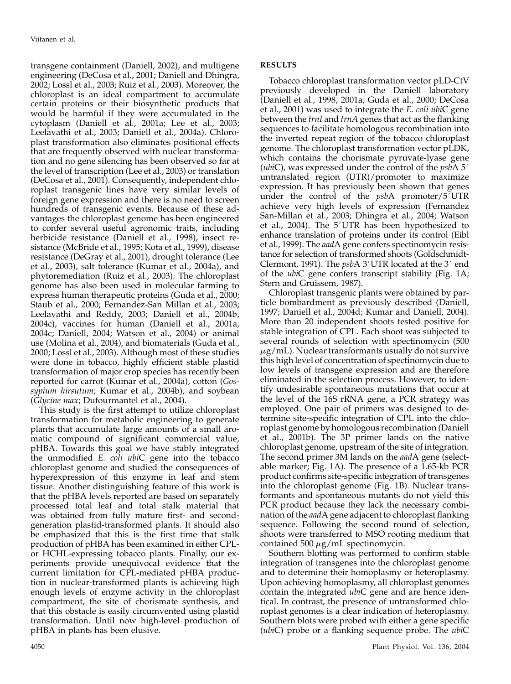transgene containment (Daniell, 2002), and multigene engineering (DeCosa et al., 2001; Daniell and Dhingra, 2002; Lossl et al., 2003; Ruiz et al., 2003). Moreover, the chloroplast is an ideal compartment to accumulate certain proteins or their biosynthetic products that would be harmful if they were accumulated in the cytoplasm (Daniell et al., 2001a; Lee et al., 2003; Leelavathi et al., 2003; Daniell et al., 2004a). Chloroplast transformation also eliminates positional effects that are frequently observed with nuclear transformation and no gene silencing has been observed so far at the level of transcription (Lee et al., 2003) or translation (DeCosa et al., 2001). Consequently, independent chloroplast transgenic lines have very similar levels of foreign gene expression and there is no need to screen hundreds of transgenic events. Because of these advantages the chloroplast genome has been engineered to confer several useful agronomic traits, including herbicide resistance (Daniell et al., 1998), insect resistance (McBride et al., 1995; Kota et al., 1999), disease resistance (DeGray et al., 2001), drought tolerance (Lee et al., 2003), salt tolerance (Kumar et al., 2004a), and phytoremediation (Ruiz et al., 2003). The chloroplast genome has also been used in molecular farming to express human therapeutic proteins (Guda et al., 2000; Staub et al., 2000; Fernandez-San Millan et al., 2003; Leelavathi and Reddy, 2003; Daniell et al., 2004b, 2004c), vaccines for human (Daniell et al., 2001a, 2004c; Daniell, 2004; Watson et al., 2004) or animal use (Molina et al., 2004), and biomaterials (Guda et al., 2000; Lossl et al., 2003). Although most of these studies were done in tobacco, highly efficient stable plastid transformation of major crop species has recently been reported for carrot (Kumar et al., 2004a), cotton (Gossypium hirsutum; Kumar et al., 2004b), and soybean (Glycine max; Dufourmantel et al., 2004).

This study is the first attempt to utilize chloroplast transformation for metabolic engineering to generate plants that accumulate large amounts of a small aromatic compound of significant commercial value, pHBA. Towards this goal we have stably integrated the unmodified E. coli ubiC gene into the tobacco chloroplast genome and studied the consequences of hyperexpression of this enzyme in leaf and stem tissue. Another distinguishing feature of this work is that the pHBA levels reported are based on separately processed total leaf and total stalk material that was obtained from fully mature first- and secondgeneration plastid-transformed plants. It should also be emphasized that this is the first time that stalk production of pHBA has been examined in either CPLor HCHL-expressing tobacco plants. Finally, our experiments provide unequivocal evidence that the current limitation for CPL-mediated pHBA production in nuclear-transformed plants is achieving high enough levels of enzyme activity in the chloroplast compartment, the site of chorismate synthesis, and that this obstacle is easily circumvented using plastid transformation. Until now high-level production of pHBA in plants has been elusive.

Tobacco chloroplast transformation vector pLD-CtV previously developed in the Daniell laboratory (Daniell et al., 1998, 2001a; Guda et al., 2000; DeCosa et al., 2001) was used to integrate the E. coli ubiC gene between the *trnI* and *trnA* genes that act as the flanking sequences to facilitate homologous recombination into the inverted repeat region of the tobacco chloroplast genome. The chloroplast transformation vector pLDK, which contains the chorismate pyruvate-lyase gene (ubiC), was expressed under the control of the  $psbA 5'$ untranslated region (UTR)/promoter to maximize expression. It has previously been shown that genes under the control of the  $psbA$  promoter/ $5^{\prime}$ UTR achieve very high levels of expression (Fernandez San-Millan et al., 2003; Dhingra et al., 2004; Watson et al., 2004). The 5'UTR has been hypothesized to enhance translation of proteins under its control (Eibl et al., 1999). The aadA gene confers spectinomycin resistance for selection of transformed shoots (Goldschmidt-Clermont, 1991). The  $psbA 3'UTR$  located at the 3' end of the *ubi*C gene confers transcript stability (Fig. 1A; Stern and Gruissem, 1987).

Chloroplast transgenic plants were obtained by particle bombardment as previously described (Daniell, 1997; Daniell et al., 2004d; Kumar and Daniell, 2004). More than 20 independent shoots tested positive for stable integration of CPL. Each shoot was subjected to several rounds of selection with spectinomycin (500  $\mu$ g/mL). Nuclear transformants usually do not survive this high level of concentration of spectinomycin due to low levels of transgene expression and are therefore eliminated in the selection process. However, to identify undesirable spontaneous mutations that occur at the level of the 16S rRNA gene, a PCR strategy was employed. One pair of primers was designed to determine site-specific integration of CPL into the chloroplast genome by homologous recombination (Daniell et al., 2001b). The 3P primer lands on the native chloroplast genome, upstream of the site of integration. The second primer 3M lands on the aadA gene (selectable marker; Fig. 1A). The presence of a 1.65-kb PCR product confirms site-specific integration of transgenes into the chloroplast genome (Fig. 1B). Nuclear transformants and spontaneous mutants do not yield this PCR product because they lack the necessary combination of the aadA gene adjacent to chloroplast flanking sequence. Following the second round of selection, shoots were transferred to MSO rooting medium that contained 500  $\mu$ g/mL spectinomycin.

Southern blotting was performed to confirm stable integration of transgenes into the chloroplast genome and to determine their homoplasmy or heteroplasmy. Upon achieving homoplasmy, all chloroplast genomes contain the integrated ubiC gene and are hence identical. In contrast, the presence of untransformed chloroplast genomes is a clear indication of heteroplasmy. Southern blots were probed with either a gene specific (*ubi*C) probe or a flanking sequence probe. The *ubiC*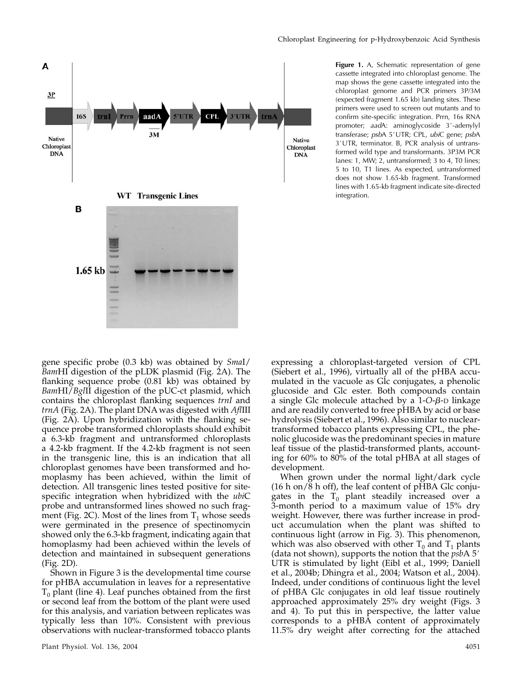

Figure 1. A, Schematic representation of gene cassette integrated into chloroplast genome. The map shows the gene cassette integrated into the chloroplast genome and PCR primers 3P/3M (expected fragment 1.65 kb) landing sites. These primers were used to screen out mutants and to confirm site-specific integration. Prrn, 16s RNA promoter; aadA: aminoglycoside 3'-adenylyl transferase; psbA 5'UTR; CPL, ubiC gene; psbA 3' UTR, terminator. B, PCR analysis of untransformed wild type and transformants. 3P3M PCR lanes: 1, MW; 2, untransformed; 3 to 4, T0 lines; 5 to 10, T1 lines. As expected, untransformed does not show 1.65-kb fragment. Transformed lines with 1.65-kb fragment indicate site-directed integration.

gene specific probe (0.3 kb) was obtained by SmaI/ BamHI digestion of the pLDK plasmid (Fig. 2A). The flanking sequence probe (0.81 kb) was obtained by BamHI/BglII digestion of the pUC-ct plasmid, which contains the chloroplast flanking sequences trnI and  $trnA$  (Fig. 2A). The plant DNA was digested with  $A/III$ (Fig. 2A). Upon hybridization with the flanking sequence probe transformed chloroplasts should exhibit a 6.3-kb fragment and untransformed chloroplasts a 4.2-kb fragment. If the 4.2-kb fragment is not seen in the transgenic line, this is an indication that all chloroplast genomes have been transformed and homoplasmy has been achieved, within the limit of detection. All transgenic lines tested positive for sitespecific integration when hybridized with the ubiC probe and untransformed lines showed no such fragment (Fig. 2C). Most of the lines from  $T_1$  whose seeds were germinated in the presence of spectinomycin showed only the 6.3-kb fragment, indicating again that homoplasmy had been achieved within the levels of detection and maintained in subsequent generations (Fig. 2D).

Shown in Figure 3 is the developmental time course for pHBA accumulation in leaves for a representative  $T_0$  plant (line 4). Leaf punches obtained from the first or second leaf from the bottom of the plant were used for this analysis, and variation between replicates was typically less than 10%. Consistent with previous observations with nuclear-transformed tobacco plants expressing a chloroplast-targeted version of CPL (Siebert et al., 1996), virtually all of the pHBA accumulated in the vacuole as Glc conjugates, a phenolic glucoside and Glc ester. Both compounds contain a single Glc molecule attached by a  $1-O-B-D$  linkage and are readily converted to free pHBA by acid or base hydrolysis (Siebert et al., 1996). Also similar to nucleartransformed tobacco plants expressing CPL, the phenolic glucoside was the predominant species in mature leaf tissue of the plastid-transformed plants, accounting for 60% to 80% of the total pHBA at all stages of development.

When grown under the normal light/dark cycle  $(16 h on/8 h off)$ , the leaf content of pHBA Glc conjugates in the  $T_0$  plant steadily increased over a 3-month period to a maximum value of 15% dry weight. However, there was further increase in product accumulation when the plant was shifted to continuous light (arrow in Fig. 3). This phenomenon, which was also observed with other  $T_0$  and  $T_1$  plants (data not shown), supports the notion that the  $p\bar{s}bA 5'$ UTR is stimulated by light (Eibl et al., 1999; Daniell et al., 2004b; Dhingra et al., 2004; Watson et al., 2004). Indeed, under conditions of continuous light the level of pHBA Glc conjugates in old leaf tissue routinely approached approximately 25% dry weight (Figs. 3 and 4). To put this in perspective, the latter value corresponds to a pHBA content of approximately 11.5% dry weight after correcting for the attached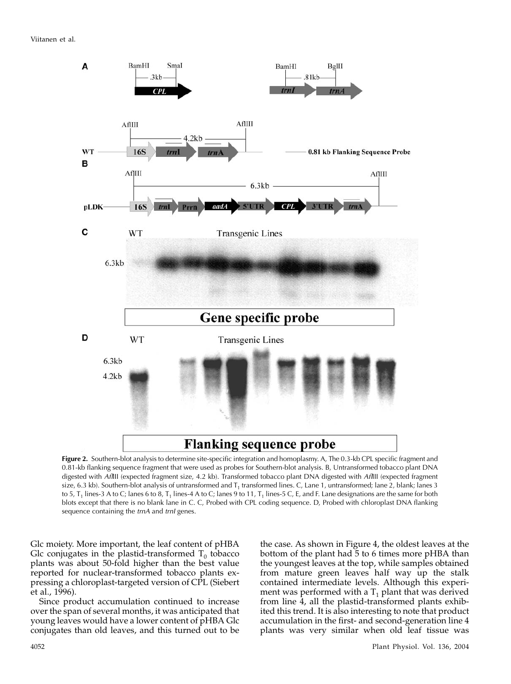### Viitanen et al.



Figure 2. Southern-blot analysis to determine site-specific integration and homoplasmy. A, The 0.3-kb CPL specific fragment and 0.81-kb flanking sequence fragment that were used as probes for Southern-blot analysis. B, Untransformed tobacco plant DNA digested with AflIII (expected fragment size, 4.2 kb). Transformed tobacco plant DNA digested with AflIII (expected fragment size, 6.3 kb). Southern-blot analysis of untransformed and  $T_1$  transformed lines. C, Lane 1, untransformed; lane 2, blank; lanes 3 to 5,  $T_1$  lines-3 A to C; lanes 6 to 8,  $T_1$  lines-4 A to C; lanes 9 to 11,  $T_1$  lines-5 C, E, and F. Lane designations are the same for both blots except that there is no blank lane in C. C, Probed with CPL coding sequence. D, Probed with chloroplast DNA flanking sequence containing the trnA and trnI genes.

Glc moiety. More important, the leaf content of pHBA Glc conjugates in the plastid-transformed  $T_0$  tobacco plants was about 50-fold higher than the best value reported for nuclear-transformed tobacco plants expressing a chloroplast-targeted version of CPL (Siebert et al., 1996).

Since product accumulation continued to increase over the span of several months, it was anticipated that young leaves would have a lower content of pHBA Glc conjugates than old leaves, and this turned out to be

the case. As shown in Figure 4, the oldest leaves at the bottom of the plant had 5 to 6 times more pHBA than the youngest leaves at the top, while samples obtained from mature green leaves half way up the stalk contained intermediate levels. Although this experiment was performed with a  $T_1$  plant that was derived from line 4, all the plastid-transformed plants exhibited this trend. It is also interesting to note that product accumulation in the first- and second-generation line 4 plants was very similar when old leaf tissue was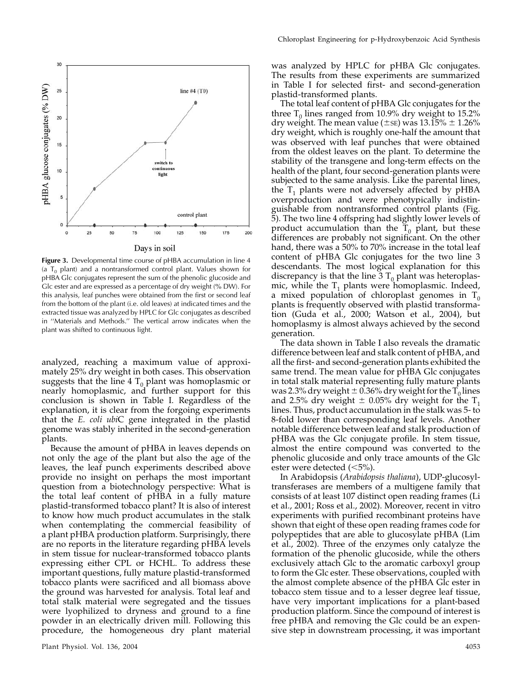

Figure 3. Developmental time course of pHBA accumulation in line 4 (a  $T_0$  plant) and a nontransformed control plant. Values shown for pHBA Glc conjugates represent the sum of the phenolic glucoside and Glc ester and are expressed as a percentage of dry weight (% DW). For this analysis, leaf punches were obtained from the first or second leaf from the bottom of the plant (i.e. old leaves) at indicated times and the extracted tissue was analyzed by HPLC for Glc conjugates as described in ''Materials and Methods.'' The vertical arrow indicates when the plant was shifted to continuous light.

analyzed, reaching a maximum value of approximately 25% dry weight in both cases. This observation suggests that the line  $4 \text{ T}_0$  plant was homoplasmic or nearly homoplasmic, and further support for this conclusion is shown in Table I. Regardless of the explanation, it is clear from the forgoing experiments that the E. coli ubiC gene integrated in the plastid genome was stably inherited in the second-generation plants.

Because the amount of pHBA in leaves depends on not only the age of the plant but also the age of the leaves, the leaf punch experiments described above provide no insight on perhaps the most important question from a biotechnology perspective: What is the total leaf content of pHBA in a fully mature plastid-transformed tobacco plant? It is also of interest to know how much product accumulates in the stalk when contemplating the commercial feasibility of a plant pHBA production platform. Surprisingly, there are no reports in the literature regarding pHBA levels in stem tissue for nuclear-transformed tobacco plants expressing either CPL or HCHL. To address these important questions, fully mature plastid-transformed tobacco plants were sacrificed and all biomass above the ground was harvested for analysis. Total leaf and total stalk material were segregated and the tissues were lyophilized to dryness and ground to a fine powder in an electrically driven mill. Following this procedure, the homogeneous dry plant material

was analyzed by HPLC for pHBA Glc conjugates. The results from these experiments are summarized in Table I for selected first- and second-generation plastid-transformed plants.

The total leaf content of pHBA Glc conjugates for the three  $T_0$  lines ranged from 10.9% dry weight to 15.2% dry weight. The mean value ( $\pm$ sE) was 13.15%  $\pm$  1.26% dry weight, which is roughly one-half the amount that was observed with leaf punches that were obtained from the oldest leaves on the plant. To determine the stability of the transgene and long-term effects on the health of the plant, four second-generation plants were subjected to the same analysis. Like the parental lines, the  $T_1$  plants were not adversely affected by pHBA overproduction and were phenotypically indistinguishable from nontransformed control plants (Fig. 5). The two line 4 offspring had slightly lower levels of product accumulation than the  $T_0$  plant, but these differences are probably not significant. On the other hand, there was a 50% to 70% increase in the total leaf content of pHBA Glc conjugates for the two line 3 descendants. The most logical explanation for this discrepancy is that the line  $3 T_0$  plant was heteroplasmic, while the  $T_1$  plants were homoplasmic. Indeed, a mixed population of chloroplast genomes in  $T_0$ plants is frequently observed with plastid transformation (Guda et al., 2000; Watson et al., 2004), but homoplasmy is almost always achieved by the second generation.

The data shown in Table I also reveals the dramatic difference between leaf and stalk content of pHBA, and all the first- and second-generation plants exhibited the same trend. The mean value for pHBA Glc conjugates in total stalk material representing fully mature plants was 2.3% dry weight  $\pm$  0.36% dry weight for the T<sub>0</sub> lines and 2.5% dry weight  $\pm$  0.05% dry weight for the T<sub>1</sub> lines. Thus, product accumulation in the stalk was 5- to 8-fold lower than corresponding leaf levels. Another notable difference between leaf and stalk production of pHBA was the Glc conjugate profile. In stem tissue, almost the entire compound was converted to the phenolic glucoside and only trace amounts of the Glc ester were detected  $(<5%$ ).

In Arabidopsis (Arabidopsis thaliana), UDP-glucosyltransferases are members of a multigene family that consists of at least 107 distinct open reading frames (Li et al., 2001; Ross et al., 2002). Moreover, recent in vitro experiments with purified recombinant proteins have shown that eight of these open reading frames code for polypeptides that are able to glucosylate pHBA (Lim et al., 2002). Three of the enzymes only catalyze the formation of the phenolic glucoside, while the others exclusively attach Glc to the aromatic carboxyl group to form the Glc ester. These observations, coupled with the almost complete absence of the pHBA Glc ester in tobacco stem tissue and to a lesser degree leaf tissue, have very important implications for a plant-based production platform. Since the compound of interest is free pHBA and removing the Glc could be an expensive step in downstream processing, it was important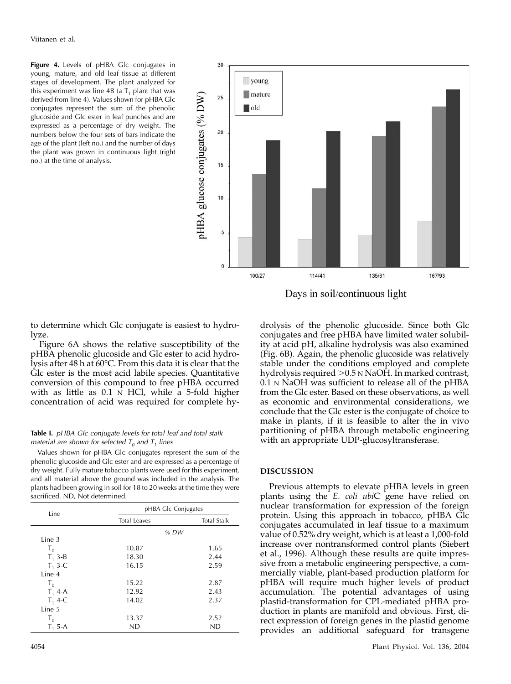Figure 4. Levels of pHBA Glc conjugates in young, mature, and old leaf tissue at different stages of development. The plant analyzed for this experiment was line 4B (a  $T_1$  plant that was derived from line 4). Values shown for pHBA Glc conjugates represent the sum of the phenolic glucoside and Glc ester in leaf punches and are expressed as a percentage of dry weight. The numbers below the four sets of bars indicate the age of the plant (left no.) and the number of days the plant was grown in continuous light (right no.) at the time of analysis.



to determine which Glc conjugate is easiest to hydrolyze.

Figure 6A shows the relative susceptibility of the pHBA phenolic glucoside and Glc ester to acid hydrolysis after 48 h at 60°C. From this data it is clear that the Glc ester is the most acid labile species. Quantitative conversion of this compound to free pHBA occurred with as little as  $0.1 \text{ N}$  HCl, while a 5-fold higher concentration of acid was required for complete hy-

### Table I. pHBA Glc conjugate levels for total leaf and total stalk material are shown for selected  $T_0$  and  $T_1$  lines

Values shown for pHBA Glc conjugates represent the sum of the phenolic glucoside and Glc ester and are expressed as a percentage of dry weight. Fully mature tobacco plants were used for this experiment, and all material above the ground was included in the analysis. The plants had been growing in soil for 18 to 20 weeks at the time they were sacrificed. ND, Not determined.

| Line         | pHBA Glc Conjugates |                    |
|--------------|---------------------|--------------------|
|              | <b>Total Leaves</b> | <b>Total Stalk</b> |
|              | % DW                |                    |
| Line 3       |                     |                    |
| $T_0$        | 10.87               | 1.65               |
| $T_1$ 3-B    | 18.30               | 2.44               |
| $T_1$ 3-C    | 16.15               | 2.59               |
| Line 4       |                     |                    |
| $T_0$        | 15.22               | 2.87               |
| $T_1$ 4-A    | 12.92               | 2.43               |
| $T_1$ 4-C    | 14.02               | 2.37               |
| Line 5       |                     |                    |
| $T^{\,}_{0}$ | 13.37               | 2.52               |
| $T_1$ 5-A    | ND.                 | ND                 |

drolysis of the phenolic glucoside. Since both Glc conjugates and free pHBA have limited water solubility at acid pH, alkaline hydrolysis was also examined (Fig. 6B). Again, the phenolic glucoside was relatively stable under the conditions employed and complete hydrolysis required  $>0.5$  N NaOH. In marked contrast,  $0.1$  N NaOH was sufficient to release all of the pHBA from the Glc ester. Based on these observations, as well as economic and environmental considerations, we conclude that the Glc ester is the conjugate of choice to make in plants, if it is feasible to alter the in vivo partitioning of pHBA through metabolic engineering with an appropriate UDP-glucosyltransferase.

### DISCUSSION

Previous attempts to elevate pHBA levels in green plants using the *E. coli ubi*C gene have relied on nuclear transformation for expression of the foreign protein. Using this approach in tobacco, pHBA Glc conjugates accumulated in leaf tissue to a maximum value of 0.52% dry weight, which is at least a 1,000-fold increase over nontransformed control plants (Siebert et al., 1996). Although these results are quite impressive from a metabolic engineering perspective, a commercially viable, plant-based production platform for pHBA will require much higher levels of product accumulation. The potential advantages of using plastid-transformation for CPL-mediated pHBA production in plants are manifold and obvious. First, direct expression of foreign genes in the plastid genome provides an additional safeguard for transgene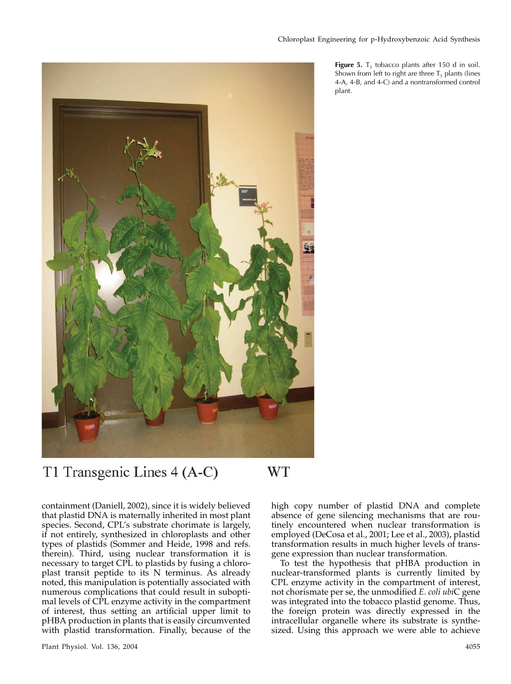

Figure 5.  $T_1$  tobacco plants after 150 d in soil. Shown from left to right are three  $T_1$  plants (lines 4-A, 4-B, and 4-C) and a nontransformed control plant.

## T1 Transgenic Lines 4 (A-C)

**WT** 

containment (Daniell, 2002), since it is widely believed that plastid DNA is maternally inherited in most plant species. Second, CPL's substrate chorimate is largely, if not entirely, synthesized in chloroplasts and other types of plastids (Sommer and Heide, 1998 and refs. therein). Third, using nuclear transformation it is necessary to target CPL to plastids by fusing a chloroplast transit peptide to its N terminus. As already noted, this manipulation is potentially associated with numerous complications that could result in suboptimal levels of CPL enzyme activity in the compartment of interest, thus setting an artificial upper limit to pHBA production in plants that is easily circumvented with plastid transformation. Finally, because of the high copy number of plastid DNA and complete absence of gene silencing mechanisms that are routinely encountered when nuclear transformation is employed (DeCosa et al., 2001; Lee et al., 2003), plastid transformation results in much higher levels of transgene expression than nuclear transformation.

To test the hypothesis that pHBA production in nuclear-transformed plants is currently limited by CPL enzyme activity in the compartment of interest, not chorismate per se, the unmodified E. coli ubiC gene was integrated into the tobacco plastid genome. Thus, the foreign protein was directly expressed in the intracellular organelle where its substrate is synthesized. Using this approach we were able to achieve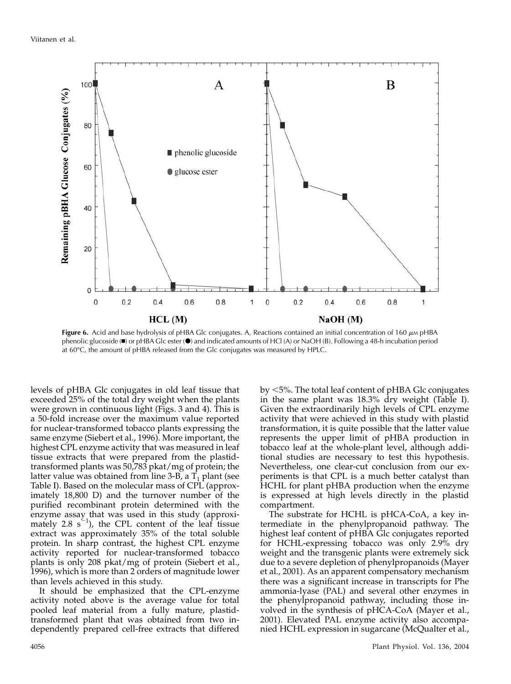

Figure 6. Acid and base hydrolysis of pHBA Glc conjugates. A, Reactions contained an initial concentration of  $160 \mu M$  pHBA phenolic glucoside (n) or pHBA Glc ester (*d*) and indicated amounts of HCl (A) or NaOH (B). Following a 48-h incubation period at 60°C, the amount of pHBA released from the Glc conjugates was measured by HPLC.

levels of pHBA Glc conjugates in old leaf tissue that exceeded 25% of the total dry weight when the plants were grown in continuous light (Figs. 3 and 4). This is a 50-fold increase over the maximum value reported for nuclear-transformed tobacco plants expressing the same enzyme (Siebert et al., 1996). More important, the highest CPL enzyme activity that was measured in leaf tissue extracts that were prepared from the plastidtransformed plants was 50,783 pkat/mg of protein; the latter value was obtained from line 3-B, a  $T_1$  plant (see Table I). Based on the molecular mass of CPL (approximately 18,800 D) and the turnover number of the purified recombinant protein determined with the enzyme assay that was used in this study (approximately 2.8  $s^{-1}$ ), the CPL content of the leaf tissue extract was approximately 35% of the total soluble protein. In sharp contrast, the highest CPL enzyme activity reported for nuclear-transformed tobacco plants is only 208 pkat/mg of protein (Siebert et al., 1996), which is more than 2 orders of magnitude lower than levels achieved in this study.

It should be emphasized that the CPL-enzyme activity noted above is the average value for total pooled leaf material from a fully mature, plastidtransformed plant that was obtained from two independently prepared cell-free extracts that differed by <5%. The total leaf content of pHBA Glc conjugates in the same plant was 18.3% dry weight (Table I). Given the extraordinarily high levels of CPL enzyme activity that were achieved in this study with plastid transformation, it is quite possible that the latter value represents the upper limit of pHBA production in tobacco leaf at the whole-plant level, although additional studies are necessary to test this hypothesis. Nevertheless, one clear-cut conclusion from our experiments is that CPL is a much better catalyst than HCHL for plant pHBA production when the enzyme is expressed at high levels directly in the plastid compartment.

The substrate for HCHL is pHCA-CoA, a key intermediate in the phenylpropanoid pathway. The highest leaf content of pHBA Glc conjugates reported for HCHL-expressing tobacco was only 2.9% dry weight and the transgenic plants were extremely sick due to a severe depletion of phenylpropanoids (Mayer et al., 2001). As an apparent compensatory mechanism there was a significant increase in transcripts for Phe ammonia-lyase (PAL) and several other enzymes in the phenylpropanoid pathway, including those involved in the synthesis of pHCA-CoA (Mayer et al., 2001). Elevated PAL enzyme activity also accompanied HCHL expression in sugarcane (McQualter et al.,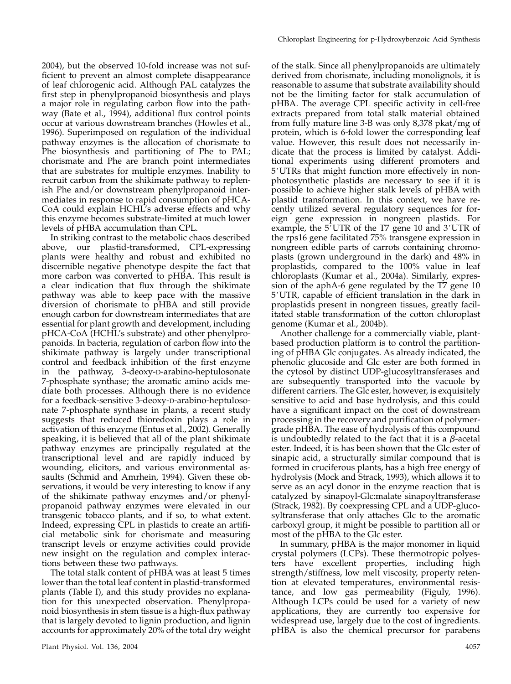2004), but the observed 10-fold increase was not sufficient to prevent an almost complete disappearance of leaf chlorogenic acid. Although PAL catalyzes the first step in phenylpropanoid biosynthesis and plays a major role in regulating carbon flow into the pathway (Bate et al., 1994), additional flux control points occur at various downstream branches (Howles et al., 1996). Superimposed on regulation of the individual pathway enzymes is the allocation of chorismate to Phe biosynthesis and partitioning of Phe to PAL; chorismate and Phe are branch point intermediates that are substrates for multiple enzymes. Inability to recruit carbon from the shikimate pathway to replenish Phe and/or downstream phenylpropanoid intermediates in response to rapid consumption of pHCA-CoA could explain HCHL's adverse effects and why this enzyme becomes substrate-limited at much lower levels of pHBA accumulation than CPL.

In striking contrast to the metabolic chaos described above, our plastid-transformed, CPL-expressing plants were healthy and robust and exhibited no discernible negative phenotype despite the fact that more carbon was converted to pHBA. This result is a clear indication that flux through the shikimate pathway was able to keep pace with the massive diversion of chorismate to pHBA and still provide enough carbon for downstream intermediates that are essential for plant growth and development, including pHCA-CoA (HCHL's substrate) and other phenylpropanoids. In bacteria, regulation of carbon flow into the shikimate pathway is largely under transcriptional control and feedback inhibition of the first enzyme in the pathway, 3-deoxy-D-arabino-heptulosonate 7-phosphate synthase; the aromatic amino acids mediate both processes. Although there is no evidence for a feedback-sensitive 3-deoxy-D-arabino-heptulosonate 7-phosphate synthase in plants, a recent study suggests that reduced thioredoxin plays a role in activation of this enzyme (Entus et al., 2002). Generally speaking, it is believed that all of the plant shikimate pathway enzymes are principally regulated at the transcriptional level and are rapidly induced by wounding, elicitors, and various environmental assaults (Schmid and Amrhein, 1994). Given these observations, it would be very interesting to know if any of the shikimate pathway enzymes and/or phenylpropanoid pathway enzymes were elevated in our transgenic tobacco plants, and if so, to what extent. Indeed, expressing CPL in plastids to create an artificial metabolic sink for chorismate and measuring transcript levels or enzyme activities could provide new insight on the regulation and complex interactions between these two pathways.

The total stalk content of pHBA was at least 5 times lower than the total leaf content in plastid-transformed plants (Table I), and this study provides no explanation for this unexpected observation. Phenylpropanoid biosynthesis in stem tissue is a high-flux pathway that is largely devoted to lignin production, and lignin accounts for approximately 20% of the total dry weight

of the stalk. Since all phenylpropanoids are ultimately derived from chorismate, including monolignols, it is reasonable to assume that substrate availability should not be the limiting factor for stalk accumulation of pHBA. The average CPL specific activity in cell-free extracts prepared from total stalk material obtained from fully mature line 3-B was only 8,378 pkat/mg of protein, which is 6-fold lower the corresponding leaf value. However, this result does not necessarily indicate that the process is limited by catalyst. Additional experiments using different promoters and 5' UTRs that might function more effectively in nonphotosynthetic plastids are necessary to see if it is possible to achieve higher stalk levels of pHBA with plastid transformation. In this context, we have recently utilized several regulatory sequences for foreign gene expression in nongreen plastids. For example, the  $5'$ UTR of the T7 gene 10 and  $3'$ UTR of the rps16 gene facilitated 75% transgene expression in nongreen edible parts of carrots containing chromoplasts (grown underground in the dark) and 48% in proplastids, compared to the 100% value in leaf chloroplasts (Kumar et al., 2004a). Similarly, expression of the aphA-6 gene regulated by the T7 gene 10 5'UTR, capable of efficient translation in the dark in proplastids present in nongreen tissues, greatly facilitated stable transformation of the cotton chloroplast genome (Kumar et al., 2004b).

Another challenge for a commercially viable, plantbased production platform is to control the partitioning of pHBA Glc conjugates. As already indicated, the phenolic glucoside and Glc ester are both formed in the cytosol by distinct UDP-glucosyltransferases and are subsequently transported into the vacuole by different carriers. The Glc ester, however, is exquisitely sensitive to acid and base hydrolysis, and this could have a significant impact on the cost of downstream processing in the recovery and purification of polymergrade pHBA. The ease of hydrolysis of this compound is undoubtedly related to the fact that it is a  $\beta$ -acetal ester. Indeed, it is has been shown that the Glc ester of sinapic acid, a structurally similar compound that is formed in cruciferous plants, has a high free energy of hydrolysis (Mock and Strack, 1993), which allows it to serve as an acyl donor in the enzyme reaction that is catalyzed by sinapoyl-Glc:malate sinapoyltransferase (Strack, 1982). By coexpressing CPL and a UDP-glucosyltransferase that only attaches Glc to the aromatic carboxyl group, it might be possible to partition all or most of the pHBA to the Glc ester.

In summary, pHBA is the major monomer in liquid crystal polymers (LCPs). These thermotropic polyesters have excellent properties, including high strength/stiffness, low melt viscosity, property retention at elevated temperatures, environmental resistance, and low gas permeability (Figuly, 1996). Although LCPs could be used for a variety of new applications, they are currently too expensive for widespread use, largely due to the cost of ingredients. pHBA is also the chemical precursor for parabens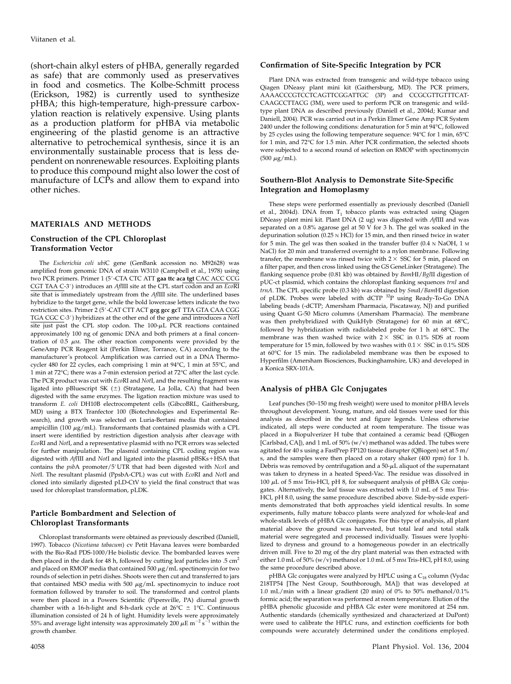(short-chain alkyl esters of pHBA, generally regarded as safe) that are commonly used as preservatives in food and cosmetics. The Kolbe-Schmitt process (Erickson, 1982) is currently used to synthesize pHBA; this high-temperature, high-pressure carboxylation reaction is relatively expensive. Using plants as a production platform for pHBA via metabolic engineering of the plastid genome is an attractive alternative to petrochemical synthesis, since it is an environmentally sustainable process that is less dependent on nonrenewable resources. Exploiting plants to produce this compound might also lower the cost of manufacture of LCPs and allow them to expand into other niches.

### MATERIALS AND METHODS

### Construction of the CPL Chloroplast Transformation Vector

The Escherichia coli ubiC gene (GenBank accession no. M92628) was amplified from genomic DNA of strain W3110 (Campbell et al., 1978) using two PCR primers. Primer 1 (5'-CTA CTC ATT gaa ttc aca tgt CAC ACC CCG CGT TAA C-3') introduces an AflIII site at the CPL start codon and an EcoRI site that is immediately upstream from the AfIIII site. The underlined bases hybridize to the target gene, while the bold lowercase letters indicate the two restriction sites. Primer 2 (5'-CAT CTT ACT gcg gcc gcT TTA GTA CAA CGG TGA CGC C-3') hybridizes at the other end of the gene and introduces a NotI site just past the CPL stop codon. The  $100-\mu$ L PCR reactions contained approximately 100 ng of genomic DNA and both primers at a final concentration of 0.5  $\mu$ M. The other reaction components were provided by the GeneAmp PCR Reagent kit (Perkin Elmer, Torrance, CA) according to the manufacturer's protocol. Amplification was carried out in a DNA Thermocycler 480 for 22 cycles, each comprising 1 min at 94°C, 1 min at 55°C, and 1 min at 72°C; there was a 7-min extension period at 72°C after the last cycle. The PCR product was cut with EcoRI and NotI, and the resulting fragment was ligated into pBluescript SK  $(\pm)$  (Stratagene, La Jolla, CA) that had been digested with the same enzymes. The ligation reaction mixture was used to transform E. coli DH10B electrocompetent cells (GibcoBRL, Gaithersburg, MD) using a BTX Tranfector 100 (Biotechnologies and Experimental Research), and growth was selected on Luria-Bertani media that contained ampicillin (100  $\mu$ g/mL). Transformants that contained plasmids with a CPL insert were identified by restriction digestion analysis after cleavage with EcoRI and NotI, and a representative plasmid with no PCR errors was selected for further manipulation. The plasmid containing CPL coding region was digested with AflIII and NotI and ligated into the plasmid pBSKs+HSA that contains the psbA promoter/5'UTR that had been digested with NcoI and NotI. The resultant plasmid (PpsbA-CPL) was cut with EcoRI and NotI and cloned into similarly digested pLD-CtV to yield the final construct that was used for chloroplast transformation, pLDK.

### Particle Bombardment and Selection of Chloroplast Transformants

Chloroplast transformants were obtained as previously described (Daniell, 1997). Tobacco (Nicotiana tabacum) cv Petit Havana leaves were bombarded with the Bio-Rad PDS-1000/He biolistic device. The bombarded leaves were then placed in the dark for 48 h, followed by cutting leaf particles into  $.5 \text{ cm}^2$ and placed on RMOP media that contained 500  $\mu{\rm g}/{\rm mL}$  spectinomycin for two rounds of selection in petri dishes. Shoots were then cut and transferred to jars that contained MSO media with 500  $\mu$ g/mL spectinomycin to induce root formation followed by transfer to soil. The transformed and control plants were then placed in a Powers Scientific (Pipersville, PA) diurnal growth chamber with a 16-h-light and 8-h-dark cycle at 26°C  $\pm$  1°C. Continuous illumination consisted of 24 h of light. Humidity levels were approximately<br>55% and average light intensity was approximately 200  $\mu$ E m $^{-2}$  s $^{-1}$  within the growth chamber.

#### Confirmation of Site-Specific Integration by PCR

Plant DNA was extracted from transgenic and wild-type tobacco using Qiagen DNeasy plant mini kit (Gaithersburg, MD). The PCR primers, AAAACCCGTCCTCAGTTCGGATTGC (3P) and CCGCGTTGTTTCAT-CAAGCCTTACG (3M), were used to perform PCR on transgenic and wildtype plant DNA as described previously (Daniell et al., 2004d; Kumar and Daniell, 2004). PCR was carried out in a Perkin Elmer Gene Amp PCR System 2400 under the following conditions: denaturation for 5 min at 94°C, followed by 25 cycles using the following temperature sequence: 94°C for 1 min, 65°C for 1 min, and 72°C for 1.5 min. After PCR confirmation, the selected shoots were subjected to a second round of selection on RMOP with spectinomycin  $(500 \mu g/mL)$ .

### Southern-Blot Analysis to Demonstrate Site-Specific Integration and Homoplasmy

These steps were performed essentially as previously described (Daniell et al., 2004d). DNA from  $T_1$  tobacco plants was extracted using Qiagen DNeasy plant mini kit. Plant DNA (2 ug) was digested with AflIII and was separated on a 0.8% agarose gel at 50 V for 3 h. The gel was soaked in the depurination solution (0.25 N HCl) for 15 min, and then rinsed twice in water for 5 min. The gel was then soaked in the transfer buffer (0.4 N NaOH, 1 M NaCl) for 20 min and transferred overnight to a nylon membrane. Following transfer, the membrane was rinsed twice with  $2 \times$  SSC for 5 min, placed on a filter paper, and then cross linked using the GS GeneLinker (Stratagene). The flanking sequence probe (0.81 kb) was obtained by BamHI/BglII digestion of pUC-ct plasmid, which contains the chloroplast flanking sequences trnI and trnA. The CPL specific probe (0.3 kb) was obtained by SmaI/BamHI digestion of pLDK. Probes were labeled with dCTP 32P using Ready-To-Go DNA labeling beads (-dCTP; Amersham Pharmacia, Piscataway, NJ) and purified using Quant G-50 Micro columns (Amersham Pharmacia). The membrane was then prehybridized with QuikHyb (Stratagene) for 60 min at 68°C, followed by hybridization with radiolabeled probe for 1 h at 68°C. The membrane was then washed twice with  $2 \times$  SSC in 0.1% SDS at room temperature for 15 min, followed by two washes with  $0.1 \times$  SSC in 0.1% SDS at 60°C for 15 min. The radiolabeled membrane was then be exposed to Hyperfilm (Amersham Biosciences, Buckinghamshire, UK) and developed in a Konica SRX-101A.

### Analysis of pHBA Glc Conjugates

Leaf punches (50–150 mg fresh weight) were used to monitor pHBA levels throughout development. Young, mature, and old tissues were used for this analysis as described in the text and figure legends. Unless otherwise indicated, all steps were conducted at room temperature. The tissue was placed in a Biopulverizer H tube that contained a ceramic bead (QBiogen [Carlsbad, CA]), and 1 mL of 50% (w/v) methanol was added. The tubes were agitated for 40 s using a FastPrep FP120 tissue disrupter (QBiogen) set at 5 m/ s, and the samples were then placed on a rotary shaker (400 rpm) for 1 h. Debris was removed by centrifugation and a  $50-\mu L$  aliquot of the supernatant was taken to dryness in a heated Speed-Vac. The residue was dissolved in 100  $\mu$ L of 5 mm Tris-HCl, pH 8, for subsequent analysis of pHBA Glc conjugates. Alternatively, the leaf tissue was extracted with 1.0 mL of 5 mm Tris-HCl, pH 8.0, using the same procedure described above. Side-by-side experiments demonstrated that both approaches yield identical results. In some experiments, fully mature tobacco plants were analyzed for whole-leaf and whole-stalk levels of pHBA Glc conjugates. For this type of analysis, all plant material above the ground was harvested, but total leaf and total stalk material were segregated and processed individually. Tissues were lyophilized to dryness and ground to a homogeneous powder in an electrically driven mill. Five to 20 mg of the dry plant material was then extracted with either 1.0 mL of 50% (w/v) methanol or 1.0 mL of 5 mm Tris-HCl, pH 8.0, using the same procedure described above.

pHBA Glc conjugates were analyzed by HPLC using a C<sub>18</sub> column (Vydac 218TP54 [The Nest Group, Southborough, MA]) that was developed at 1.0 mL/min with a linear gradient (20 min) of 0% to 50% methanol/0.1% formic acid; the separation was performed at room temperature. Elution of the pHBA phenolic glucoside and pHBA Glc ester were monitored at 254 nm. Authentic standards (chemically synthesized and characterized at DuPont) were used to calibrate the HPLC runs, and extinction coefficients for both compounds were accurately determined under the conditions employed.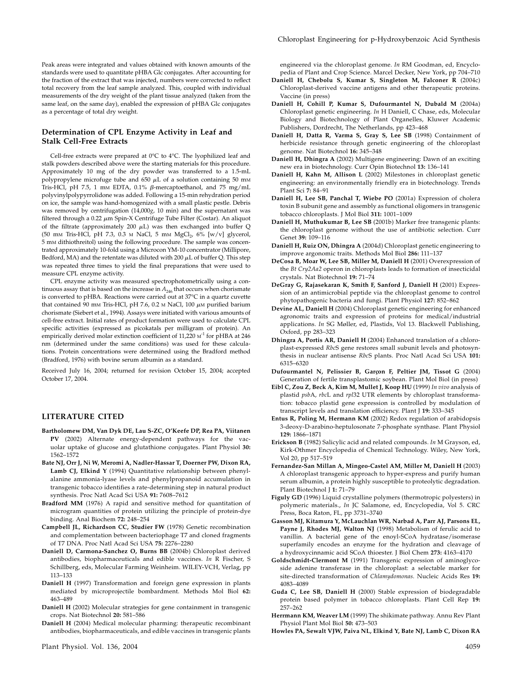Peak areas were integrated and values obtained with known amounts of the standards were used to quantitate pHBA Glc conjugates. After accounting for the fraction of the extract that was injected, numbers were corrected to reflect total recovery from the leaf sample analyzed. This, coupled with individual measurements of the dry weight of the plant tissue analyzed (taken from the same leaf, on the same day), enabled the expression of pHBA Glc conjugates as a percentage of total dry weight.

### Determination of CPL Enzyme Activity in Leaf and Stalk Cell-Free Extracts

Cell-free extracts were prepared at 0°C to 4°C. The lyophilized leaf and stalk powders described above were the starting materials for this procedure. Approximately 10 mg of the dry powder was transferred to a 1.5-mL polypropylene microfuge tube and  $650 \mu L$  of a solution containing 50 mm Tris-HCl, pH 7.5, 1 mm EDTA, 0.1%  $\beta$ -mercaptoethanol, and 75 mg/mL polyvinylpolypyrrolidone was added. Following a 15-min rehydration period on ice, the sample was hand-homogenized with a small plastic pestle. Debris was removed by centrifugation (14,000g, 10 min) and the supernatant was filtered through a 0.22  $\mu$ m Spin-X Centrifuge Tube Filter (Costar). An aliquot of the filtrate (approximately 200  $\mu$ L) was then exchanged into buffer Q (50 mm Tris-HCl, pH 7.3, 0.3 m NaCl, 5 mm MgCl<sub>2</sub>, 6% [w/v] glycerol, 5 mM dithiothreitol) using the following procedure. The sample was concentrated approximately 10-fold using a Microcon YM-10 concentrator (Millipore, Bedford, MA) and the retentate was diluted with 200  $\mu$ L of buffer Q. This step was repeated three times to yield the final preparations that were used to measure CPL enzyme activity.

CPL enzyme activity was measured spectrophotometrically using a continuous assay that is based on the increase in  $A_{246}$  that occurs when chorismate is converted to pHBA. Reactions were carried out at 37°C in a quartz cuvette that contained 90 mm Tris-HCl, pH 7.6, 0.2 m NaCl, 100  $\mu$ m purified barium chorismate (Siebert et al., 1994). Assays were initiated with various amounts of cell-free extract. Initial rates of product formation were used to calculate CPL specific activities (expressed as picokatals per milligram of protein). An empirically derived molar extinction coefficient of 11,220  $M<sup>-1</sup>$  for pHBA at 246 nm (determined under the same conditions) was used for these calculations. Protein concentrations were determined using the Bradford method (Bradford, 1976) with bovine serum albumin as a standard.

Received July 16, 2004; returned for revision October 15, 2004; accepted October 17, 2004.

### LITERATURE CITED

- Bartholomew DM, Van Dyk DE, Lau S-ZC, O'Keefe DP, Rea PA, Viitanen PV (2002) Alternate energy-dependent pathways for the vacuolar uptake of glucose and glutathione conjugates. Plant Physiol 30: 1562–1572
- Bate NJ, Orr J, Ni W, Meromi A, Nadler-Hassar T, Doerner PW, Dixon RA, Lamb CJ, Elkind Y (1994) Quantitative relationship between phenylalanine ammonia-lyase levels and phenylpropanoid accumulation in transgenic tobacco identifies a rate-determining step in natural product synthesis. Proc Natl Acad Sci USA 91: 7608–7612
- Bradford MM (1976) A rapid and sensitive method for quantitation of microgram quantities of protein utilizing the principle of protein-dye binding. Anal Biochem 72: 248–254
- Campbell JL, Richardson CC, Studier FW (1978) Genetic recombination and complementation between bacteriophage T7 and cloned fragments of T7 DNA. Proc Natl Acad Sci USA 75: 2276–2280
- Daniell D, Carmona-Sanchez O, Burns BB (2004b) Chloroplast derived antibodies, biopharmaceuticals and edible vaccines. In R Fischer, S Schillberg, eds, Molecular Farming Weinheim. WILEY-VCH, Verlag, pp 113–133
- Daniell H (1997) Transformation and foreign gene expression in plants mediated by microprojectile bombardment. Methods Mol Biol 62: 463–489
- Daniell H (2002) Molecular strategies for gene containment in transgenic crops. Nat Biotechnol 20: 581–586
- Daniell H (2004) Medical molecular pharming: therapeutic recombinant antibodies, biopharmaceuticals, and edible vaccines in transgenic plants

engineered via the chloroplast genome. In RM Goodman, ed, Encyclopedia of Plant and Crop Science. Marcel Decker, New York, pp 704–710

- Daniell H, Chebolu S, Kumar S, Singleton M, Falconer R (2004c) Chloroplast-derived vaccine antigens and other therapeutic proteins. Vaccine (in press)
- Daniell H, Cohill P, Kumar S, Dufourmantel N, Dubald M (2004a) Chloroplast genetic engineering. In H Daniell, C Chase, eds, Molecular Biology and Biotechnology of Plant Organelles, Kluwer Academic Publishers, Dordrecht, The Netherlands, pp 423–468
- Daniell H, Datta R, Varma S, Gray S, Lee SB (1998) Containment of herbicide resistance through genetic engineering of the chloroplast genome. Nat Biotechnol 16: 345–348
- Daniell H, Dhingra A (2002) Multigene engineering: Dawn of an exciting new era in biotechnology. Curr Opin Biotechnol 13: 136–141
- Daniell H, Kahn M, Allison L (2002) Milestones in chloroplast genetic engineering: an environmentally friendly era in biotechnology. Trends Plant Sci 7: 84–91
- Daniell H, Lee SB, Panchal T, Wiebe PO (2001a) Expression of cholera toxin B subunit gene and assembly as functional oligomers in transgenic tobacco chloroplasts. J Mol Biol 311: 1001–1009
- Daniell H, Muthukumar B, Lee SB (2001b) Marker free transgenic plants: the chloroplast genome without the use of antibiotic selection. Curr Genet 39: 109–116
- Daniell H, Ruiz ON, Dhingra A (2004d) Chloroplast genetic engineering to improve argonomic traits. Methods Mol Biol 286: 111–137
- DeCosa B, Moar W, Lee SB, Miller M, Daniell H (2001) Overexpression of the Bt Cry2Aa2 operon in chloroplasts leads to formation of insecticidal crystals. Nat Biotechnol 19: 71–74
- DeGray G, Rajasekaran K, Smith F, Sanford J, Daniell H (2001) Expression of an antimicrobial peptide via the chloroplast genome to control phytopathogenic bacteria and fungi. Plant Physiol 127: 852–862
- Devine AL, Daniell H (2004) Chloroplast genetic engineering for enhanced agronomic traits and expression of proteins for medical/industrial applications. In SG Møller, ed, Plastids, Vol 13. Blackwell Publishing, Oxford, pp 283–323
- Dhingra A, Portis AR, Daniell H (2004) Enhanced translation of a chloroplast-expressed RbcS gene restores small subunit levels and photosynthesis in nuclear antisense RbcS plants. Proc Natl Acad Sci USA 101: 6315–6320
- Dufourmantel N, Pelissier B, Garc*x*on F, Peltier JM, Tissot G (2004) Generation of fertile transplastomic soybean. Plant Mol Biol (in press)
- Eibl C, Zou Z, Beck A, Kim M, Mullet J, Koop HU (1999) In vivo analysis of plastid psbA, rbcL and rpl32 UTR elements by chloroplast transformation: tobacco plastid gene expression is controlled by modulation of transcript levels and translation efficiency. Plant J 19: 333-345
- Entus R, Poling M, Hermann KM (2002) Redox regulation of arabidopsis 3-deoxy-D-arabino-heptulosonate 7-phosphate synthase. Plant Physiol 129: 1866–1871
- Erickson B (1982) Salicylic acid and related compounds. In M Grayson, ed, Kirk-Othmer Encyclopedia of Chemical Technology. Wiley, New York, Vol 20, pp 517–519
- Fernandez-San Millan A, Mingeo-Castel AM, Miller M, Daniell H (2003) A chloroplast transgenic approach to hyper-express and purify human serum albumin, a protein highly susceptible to proteolytic degradation. Plant Biotechnol J 1: 71-79
- Figuly GD (1996) Liquid crystalline polymers (thermotropic polyesters) in polymeric materials., In JC Salamone, ed, Encyclopedia, Vol 5. CRC Press, Boca Raton, FL, pp 3731–3740
- Gasson MJ, Kitamura Y, McLauchlan WR, Narbad A, Parr AJ, Parsons EL, Payne J, Rhodes MJ, Walton NJ (1998) Metabolism of ferulic acid to vanillin. A bacterial gene of the enoyl-SCoA hydratase/isomerase superfamily encodes an enzyme for the hydration and cleavage of a hydroxycinnamic acid SCoA thioester. J Biol Chem 273: 4163–4170
- Goldschmidt-Clermont M (1991) Transgenic expression of aminoglycoside adenine transferase in the chloroplast: a selectable marker for site-directed transformation of Chlamydomonas. Nucleic Acids Res 19: 4083–4089
- Guda C, Lee SB, Daniell H (2000) Stable expression of biodegradable protein based polymer in tobacco chloroplasts. Plant Cell Rep 19: 257–262
- Herrmann KM, Weaver LM (1999) The shikimate pathway. Annu Rev Plant Physiol Plant Mol Biol 50: 473–503
- Howles PA, Sewalt VJW, Paiva NL, Elkind Y, Bate NJ, Lamb C, Dixon RA